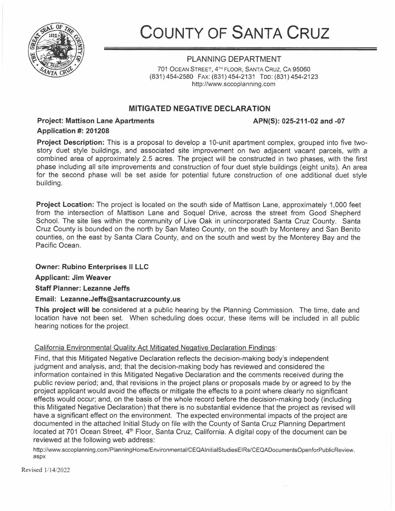

COUNTY OF SANTA CRUZ

## PLANNING DEPARTMENT

701 OCEAN STREET, 4rH FLOOR, SANTA CRUZ, CA 95060 (831) 454-2580 FAX: (831) 454-2131 Too: (831) 454-2123 http://www.sccoplanning.com

# MITIGATED NEGATIVE DECLARATION

# Project: Mattison Lane Apartments

### APN(S): 025-211-02 and -07

## Application #: 201208

Project Description: This is a proposal to develop a 10-unit apartment complex, grouped into five twostory duet style buildings, and associated site improvement on two adjacent vacant parcels, with a combined area of approximately 2.5 acres. The project will be constructed in two phases, with the first phase including all site improvements and construction of four duet style buildings (eight units). An area for the second phase will be set aside for potential future construction of one additional duet style building.

Project Location: The project is located on the south side of Mattison Lane, approximately 1,000 feet from the intersection of Mattison Lane and Soquel Drive, across the street from Good Shepherd School. The site lies within the community of Live Oak in unincorporated Santa Cruz County. Santa Cruz County is bounded on the north by San Mateo County, on the south by Monterey and San Benito counties, on the east by Santa Clara County, and on the south and west by the Monterey Bay and the Pacific Ocean.

### Owner: Rubino Enterprises II LLC

Applicant: Jim Weaver

Staff Planner: Lezanne Jeffs

#### Email: Lezanne.Jeffs@santacruzcounty.us

This project will be considered at a public hearing by the Planning Commission. The time, date and location have not been set. When scheduling does occur, these items will be included in all public hearing notices for the project.

#### California Environmental Quality Act Mitigated Negative Declaration Findings:

Find, that this Mitigated Negative Declaration reflects the decision-making body's independent judgment and analysis, and; that the decision-making body has reviewed and considered the information contained in this Mitigated Negative Declaration and the comments received during the public review period; and, that revisions in the project plans or proposals made by or agreed to by the project applicant would avoid the effects or mitigate the effects to a point where clearly no significant effects would occur; and, on the basis of the whole record before the decision-making body (including this Mitigated Negative Declaration) that there is no substantial evidence that the project as revised will have a significant effect on the environment. The expected environmental impacts of the project are documented in the attached Initial Study on file with the County of Santa Cruz Planning Department located at 701 Ocean Street, 4<sup>th</sup> Floor, Santa Cruz, California. A digital copy of the document can be reviewed at the following web address:

http://www.sccoplanning.com/PlanningHome/Environmental/CEQAlnitialStudiesEIRs/CEQADocumentsOpenforPublicReview. aspx